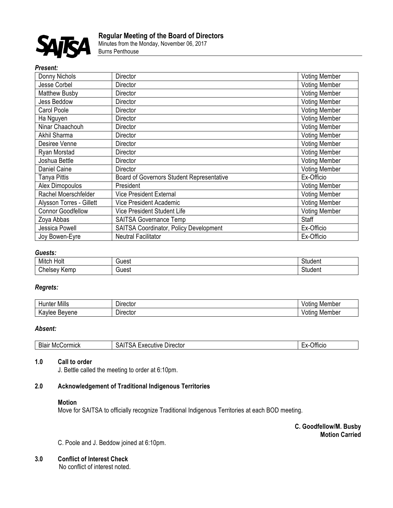

Minutes from the Monday, November 06, 2017 Burns Penthouse

## *Present:*

| Donny Nichols            | Director                                  | <b>Voting Member</b> |
|--------------------------|-------------------------------------------|----------------------|
| Jesse Corbel             | Director                                  | <b>Voting Member</b> |
| Matthew Busby            | Director                                  | <b>Voting Member</b> |
| <b>Jess Beddow</b>       | Director                                  | <b>Voting Member</b> |
| Carol Poole              | Director                                  | <b>Voting Member</b> |
| Ha Nguyen                | Director                                  | <b>Voting Member</b> |
| Ninar Chaachouh          | Director                                  | <b>Voting Member</b> |
| Akhil Sharma             | Director                                  | <b>Voting Member</b> |
| Desiree Venne            | Director                                  | <b>Voting Member</b> |
| Ryan Morstad             | Director                                  | <b>Voting Member</b> |
| Joshua Bettle            | Director                                  | <b>Voting Member</b> |
| Daniel Caine             | Director                                  | <b>Voting Member</b> |
| Tanya Pittis             | Board of Governors Student Representative | Ex-Officio           |
| Alex Dimopoulos          | President                                 | <b>Voting Member</b> |
| Rachel Moerschfelder     | <b>Vice President External</b>            | <b>Voting Member</b> |
| Alysson Torres - Gillett | <b>Vice President Academic</b>            | <b>Voting Member</b> |
| <b>Connor Goodfellow</b> | Vice President Student Life               | <b>Voting Member</b> |
| Zoya Abbas               | SAITSA Governance Temp                    | Staff                |
| Jessica Powell           | SAITSA Coordinator, Policy Development    | Ex-Officio           |
| Joy Bowen-Eyre           | <b>Neutral Facilitator</b>                | Ex-Officio           |

### *Guests:*

| Mitch<br>Holt             | iuest | ⌒<br>studen:      |
|---------------------------|-------|-------------------|
| $\sim$<br>emp.<br>∠neısev | نc⊍خ  | $\sim$<br>student |

# *Regrets:*

| <br>Mills               | $D$ irector          | ember<br>Mer<br>ounc |
|-------------------------|----------------------|----------------------|
| Bevene<br>็าviee<br>. v | -<br><b>Director</b> | Member<br>'otind     |

# *Absent:*

| ∕ ormick<br>Blair<br>MC( | Director<br>utive.<br>- 77<br>۶۳<br>ת .<br>ᄭ | .<br>tticio<br>◡ |
|--------------------------|----------------------------------------------|------------------|
|--------------------------|----------------------------------------------|------------------|

## **1.0 Call to order**

J. Bettle called the meeting to order at 6:10pm.

# **2.0 Acknowledgement of Traditional Indigenous Territories**

#### **Motion**

Move for SAITSA to officially recognize Traditional Indigenous Territories at each BOD meeting.

**C. Goodfellow/M. Busby Motion Carried**

C. Poole and J. Beddow joined at 6:10pm.

## **3.0 Conflict of Interest Check**

No conflict of interest noted.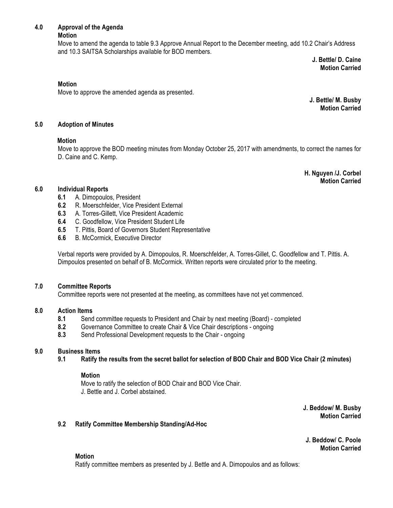# **4.0 Approval of the Agenda**

**Motion**

Move to amend the agenda to table 9.3 Approve Annual Report to the December meeting, add 10.2 Chair's Address and 10.3 SAITSA Scholarships available for BOD members.

**J. Bettle/ D. Caine Motion Carried**

## **Motion**

Move to approve the amended agenda as presented.

**J. Bettle/ M. Busby Motion Carried**

## **5.0 Adoption of Minutes**

#### **Motion**

Move to approve the BOD meeting minutes from Monday October 25, 2017 with amendments, to correct the names for D. Caine and C. Kemp.

> **H. Nguyen /J. Corbel Motion Carried**

## **6.0 Individual Reports**

- **6.1** A. Dimopoulos, President
- **6.2** R. Moerschfelder, Vice President External
- **6.3** A. Torres-Gillett, Vice President Academic
- **6.4** C. Goodfellow, Vice President Student Life
- **6.5** T. Pittis, Board of Governors Student Representative
- **6.6** B. McCormick, Executive Director

Verbal reports were provided by A. Dimopoulos, R. Moerschfelder, A. Torres-Gillet, C. Goodfellow and T. Pittis. A. Dimpoulos presented on behalf of B. McCormick. Written reports were circulated prior to the meeting.

#### **7.0 Committee Reports**

Committee reports were not presented at the meeting, as committees have not yet commenced.

## **8.0 Action Items**

- **8.1** Send committee requests to President and Chair by next meeting (Board) completed
- **8.2** Governance Committee to create Chair & Vice Chair descriptions ongoing
- **8.3** Send Professional Development requests to the Chair ongoing

## **9.0 Business Items**

**9.1 Ratify the results from the secret ballot for selection of BOD Chair and BOD Vice Chair (2 minutes)**

#### **Motion**

Move to ratify the selection of BOD Chair and BOD Vice Chair. J. Bettle and J. Corbel abstained.

> **J. Beddow/ M. Busby Motion Carried**

## **9.2 Ratify Committee Membership Standing/Ad-Hoc**

**J. Beddow/ C. Poole Motion Carried** 

#### **Motion**

Ratify committee members as presented by J. Bettle and A. Dimopoulos and as follows: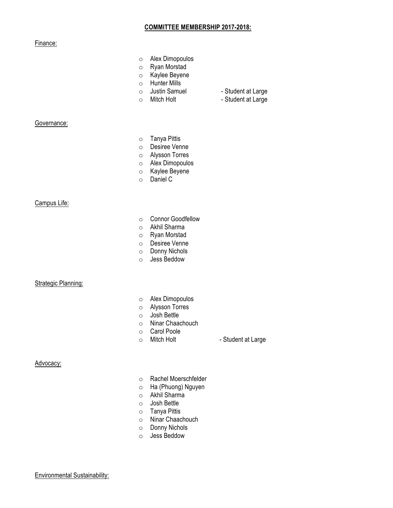#### **COMMITTEE MEMBERSHIP 2017-2018:**

## Finance:

- o Alex Dimopoulos
- o Ryan Morstad
- o Kaylee Beyene
- o Hunter Mills<br>○ Justin Samuel
- o Justin Samuel Student at Large<br>
o Mitch Holt Student at Large
	-
- o Mitch Holt Student at Large

Governance:

- o Tanya Pittis
- o Desiree Venne
- o Alysson Torres
- o Alex Dimopoulos
- o Kaylee Beyene
- o Daniel C

Campus Life:

- o Connor Goodfellow
- o Akhil Sharma
- o Ryan Morstad
- o Desiree Venne
- o Donny Nichols
- o Jess Beddow

#### **Strategic Planning:**

- o Alex Dimopoulos
- o Alysson Torres
- o Josh Bettle
- o Ninar Chaachouch
- Carol Poole<br>○ Mitch Holt
- 

o Mitch Holt - Student at Large

## Advocacy:

- o Rachel Moerschfelder
- o Ha (Phuong) Nguyen
- o Akhil Sharma
- o Josh Bettle
- o Tanya Pittis
- o Ninar Chaachouch
- o Donny Nichols
- o Jess Beddow